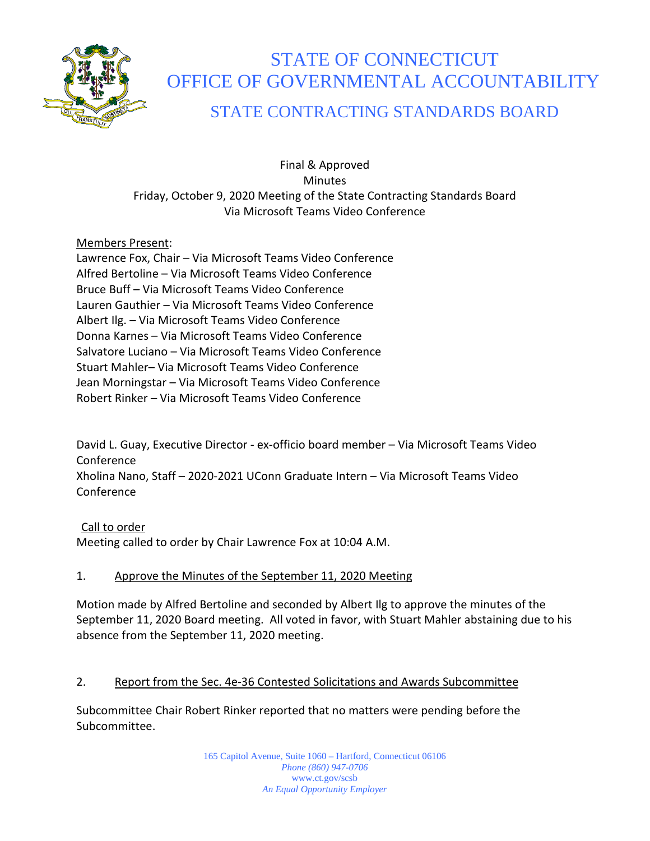

# STATE OF CONNECTICUT OFFICE OF GOVERNMENTAL ACCOUNTABILITY

# STATE CONTRACTING STANDARDS BOARD

Final & Approved **Minutes** Friday, October 9, 2020 Meeting of the State Contracting Standards Board Via Microsoft Teams Video Conference

## Members Present:

Lawrence Fox, Chair – Via Microsoft Teams Video Conference Alfred Bertoline – Via Microsoft Teams Video Conference Bruce Buff – Via Microsoft Teams Video Conference Lauren Gauthier – Via Microsoft Teams Video Conference Albert Ilg. – Via Microsoft Teams Video Conference Donna Karnes – Via Microsoft Teams Video Conference Salvatore Luciano – Via Microsoft Teams Video Conference Stuart Mahler– Via Microsoft Teams Video Conference Jean Morningstar – Via Microsoft Teams Video Conference Robert Rinker – Via Microsoft Teams Video Conference

David L. Guay, Executive Director - ex-officio board member – Via Microsoft Teams Video Conference Xholina Nano, Staff – 2020-2021 UConn Graduate Intern – Via Microsoft Teams Video Conference

# Call to order

Meeting called to order by Chair Lawrence Fox at 10:04 A.M.

## 1. Approve the Minutes of the September 11, 2020 Meeting

Motion made by Alfred Bertoline and seconded by Albert Ilg to approve the minutes of the September 11, 2020 Board meeting. All voted in favor, with Stuart Mahler abstaining due to his absence from the September 11, 2020 meeting.

## 2. Report from the Sec. 4e-36 Contested Solicitations and Awards Subcommittee

Subcommittee Chair Robert Rinker reported that no matters were pending before the Subcommittee.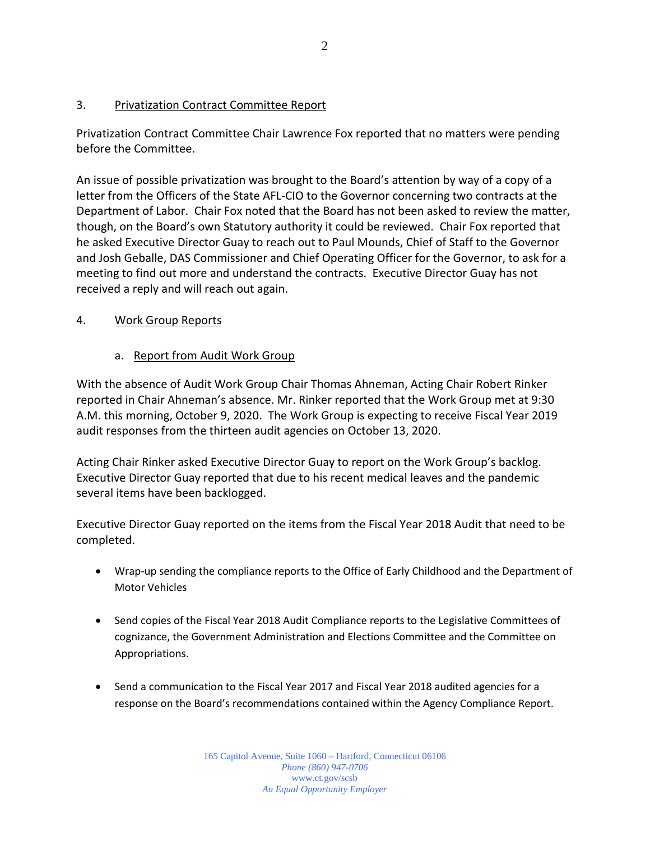#### 3. Privatization Contract Committee Report

Privatization Contract Committee Chair Lawrence Fox reported that no matters were pending before the Committee.

An issue of possible privatization was brought to the Board's attention by way of a copy of a letter from the Officers of the State AFL-CIO to the Governor concerning two contracts at the Department of Labor. Chair Fox noted that the Board has not been asked to review the matter, though, on the Board's own Statutory authority it could be reviewed. Chair Fox reported that he asked Executive Director Guay to reach out to Paul Mounds, Chief of Staff to the Governor and Josh Geballe, DAS Commissioner and Chief Operating Officer for the Governor, to ask for a meeting to find out more and understand the contracts. Executive Director Guay has not received a reply and will reach out again.

## 4. Work Group Reports

#### a. Report from Audit Work Group

With the absence of Audit Work Group Chair Thomas Ahneman, Acting Chair Robert Rinker reported in Chair Ahneman's absence. Mr. Rinker reported that the Work Group met at 9:30 A.M. this morning, October 9, 2020. The Work Group is expecting to receive Fiscal Year 2019 audit responses from the thirteen audit agencies on October 13, 2020.

Acting Chair Rinker asked Executive Director Guay to report on the Work Group's backlog. Executive Director Guay reported that due to his recent medical leaves and the pandemic several items have been backlogged.

Executive Director Guay reported on the items from the Fiscal Year 2018 Audit that need to be completed.

- Wrap-up sending the compliance reports to the Office of Early Childhood and the Department of Motor Vehicles
- Send copies of the Fiscal Year 2018 Audit Compliance reports to the Legislative Committees of cognizance, the Government Administration and Elections Committee and the Committee on Appropriations.
- Send a communication to the Fiscal Year 2017 and Fiscal Year 2018 audited agencies for a response on the Board's recommendations contained within the Agency Compliance Report.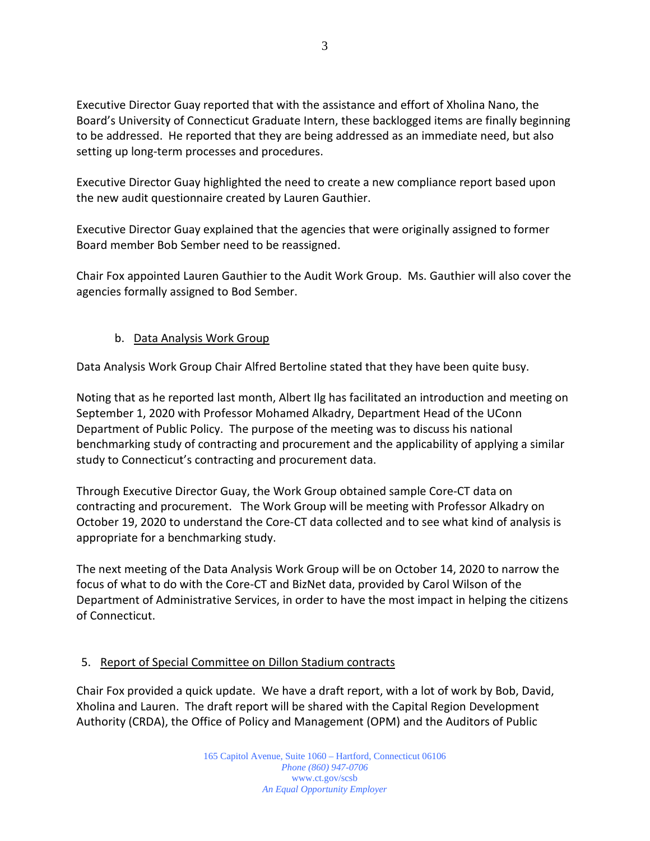Executive Director Guay reported that with the assistance and effort of Xholina Nano, the Board's University of Connecticut Graduate Intern, these backlogged items are finally beginning to be addressed. He reported that they are being addressed as an immediate need, but also setting up long-term processes and procedures.

Executive Director Guay highlighted the need to create a new compliance report based upon the new audit questionnaire created by Lauren Gauthier.

Executive Director Guay explained that the agencies that were originally assigned to former Board member Bob Sember need to be reassigned.

Chair Fox appointed Lauren Gauthier to the Audit Work Group. Ms. Gauthier will also cover the agencies formally assigned to Bod Sember.

## b. Data Analysis Work Group

Data Analysis Work Group Chair Alfred Bertoline stated that they have been quite busy.

Noting that as he reported last month, Albert Ilg has facilitated an introduction and meeting on September 1, 2020 with Professor Mohamed Alkadry, Department Head of the UConn Department of Public Policy. The purpose of the meeting was to discuss his national benchmarking study of contracting and procurement and the applicability of applying a similar study to Connecticut's contracting and procurement data.

Through Executive Director Guay, the Work Group obtained sample Core-CT data on contracting and procurement. The Work Group will be meeting with Professor Alkadry on October 19, 2020 to understand the Core-CT data collected and to see what kind of analysis is appropriate for a benchmarking study.

The next meeting of the Data Analysis Work Group will be on October 14, 2020 to narrow the focus of what to do with the Core-CT and BizNet data, provided by Carol Wilson of the Department of Administrative Services, in order to have the most impact in helping the citizens of Connecticut.

## 5. Report of Special Committee on Dillon Stadium contracts

Chair Fox provided a quick update. We have a draft report, with a lot of work by Bob, David, Xholina and Lauren. The draft report will be shared with the Capital Region Development Authority (CRDA), the Office of Policy and Management (OPM) and the Auditors of Public